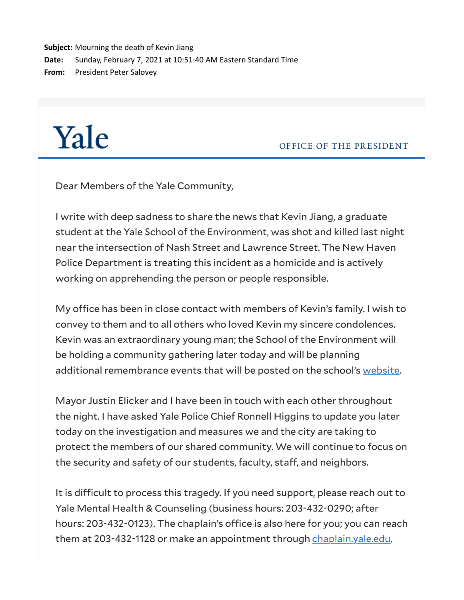**Subject:** Mourning the death of Kevin Jiang **Date:** Sunday, February 7, 2021 at 10:51:40 AM Eastern Standard Time **From:** President Peter Salovey

## Yale

OFFICE OF THE PRESIDENT

Dear Members of the Yale Community,

I write with deep sadness to share the news that Kevin Jiang, a graduate student at the Yale School of the Environment, was shot and killed last night near the intersection of Nash Street and Lawrence Street. The New Haven Police Department is treating this incident as a homicide and is actively working on apprehending the person or people responsible.

My office has been in close contact with members of Kevin's family. I wish to convey to them and to all others who loved Kevin my sincere condolences. Kevin was an extraordinary young man; the School of the Environment will be holding a community gathering later today and will be planning additional remembrance events that will be posted on the school's [website.](https://click.message.yale.edu/?qs=0023085ac4d9b4e7aff10837508aada6ef786f0e13e32c1eafe8510877cc160c78d7f4fb107b63e2b6bad20300247d743b591d3f3bb3529912e00cd89272bbd9)

Mayor Justin Elicker and I have been in touch with each other throughout the night. I have asked Yale Police Chief Ronnell Higgins to update you later today on the investigation and measures we and the city are taking to protect the members of our shared community. We will continue to focus on the security and safety of our students, faculty, staff, and neighbors.

It is difficult to process this tragedy. If you need support, please reach out to Yale Mental Health & Counseling (business hours: 203-432-0290; after hours: 203-432-0123). The chaplain's office is also here for you; you can reach them at 203-432-1128 or make an appointment through [chaplain.yale.edu.](https://click.message.yale.edu/?qs=0023085ac4d9b4e724c92d3e987f98aff8add0ca282abb18fe5a77e4629b195923ee1f840388fbf46c44706119dcc55e2ecafb80e4223a792ecc05e337d229b6)